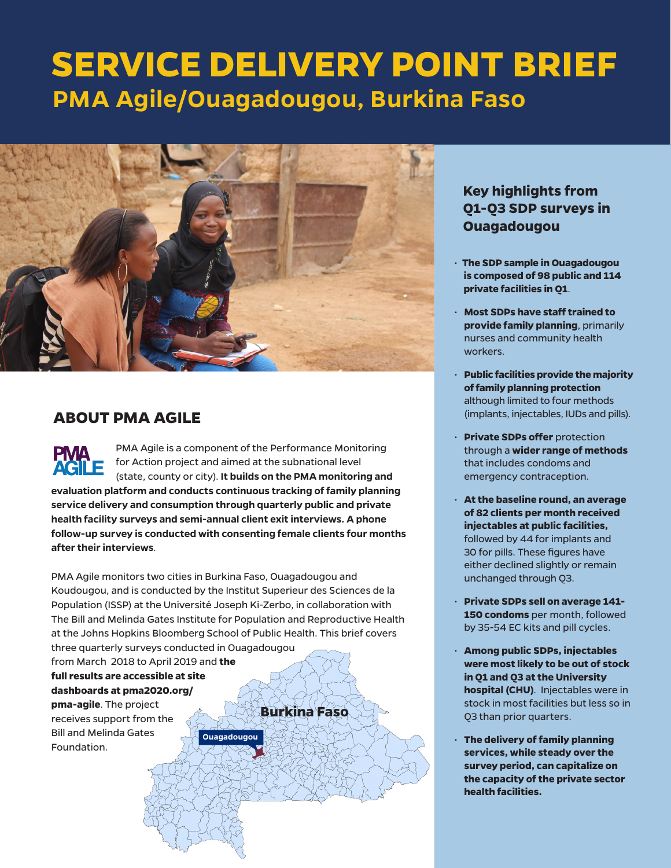# **SERVICE DELIVERY POINT BRIEF PMA Agile/Ouagadougou, Burkina Faso**



# **ABOUT PMA AGILE**

PMA Agile is a component of the Performance Monitoring **PMA** for Action project and aimed at the subnational level (state, county or city). **It builds on the PMA monitoring and evaluation platform and conducts continuous tracking of family planning service delivery and consumption through quarterly public and private health facility surveys and semi-annual client exit interviews. A phone follow-up survey is conducted with consenting female clients four months after their interviews**.

PMA Agile monitors two cities in Burkina Faso, Ouagadougou and Koudougou, and is conducted by the Institut Superieur des Sciences de la Population (ISSP) at the Université Joseph Ki-Zerbo, in collaboration with The Bill and Melinda Gates Institute for Population and Reproductive Health at the Johns Hopkins Bloomberg School of Public Health. This brief covers three quarterly surveys conducted in Ouagadougou

**Ouagadougou**

from March 2018 to April 2019 and **the full results are accessible at site dashboards at pma2020.org/ pma-agile**. The project receives support from the

Bill and Melinda Gates Foundation.

**Burkina Faso**

# **Key highlights from Q1-Q3 SDP surveys in Ouagadougou**

- **The SDP sample in Ouagadougou is composed of 98 public and 114 private facilities in Q1**.
- **Most SDPs have staff trained to provide family planning**, primarily nurses and community health workers.
- **Public facilities provide the majority of family planning protection**  although limited to four methods (implants, injectables, IUDs and pills).
- **Private SDPs offer** protection through a **wider range of methods** that includes condoms and emergency contraception.
- **At the baseline round, an average of 82 clients per month received injectables at public facilities,**  followed by 44 for implants and 30 for pills. These figures have either declined slightly or remain unchanged through Q3.
- **Private SDPs sell on average 141- 150 condoms** per month, followed by 35-54 EC kits and pill cycles.
- **Among public SDPs, injectables were most likely to be out of stock in Q1 and Q3 at the University hospital (CHU)**. Injectables were in stock in most facilities but less so in Q3 than prior quarters.
- • **The delivery of family planning services, while steady over the survey period, can capitalize on the capacity of the private sector health facilities.**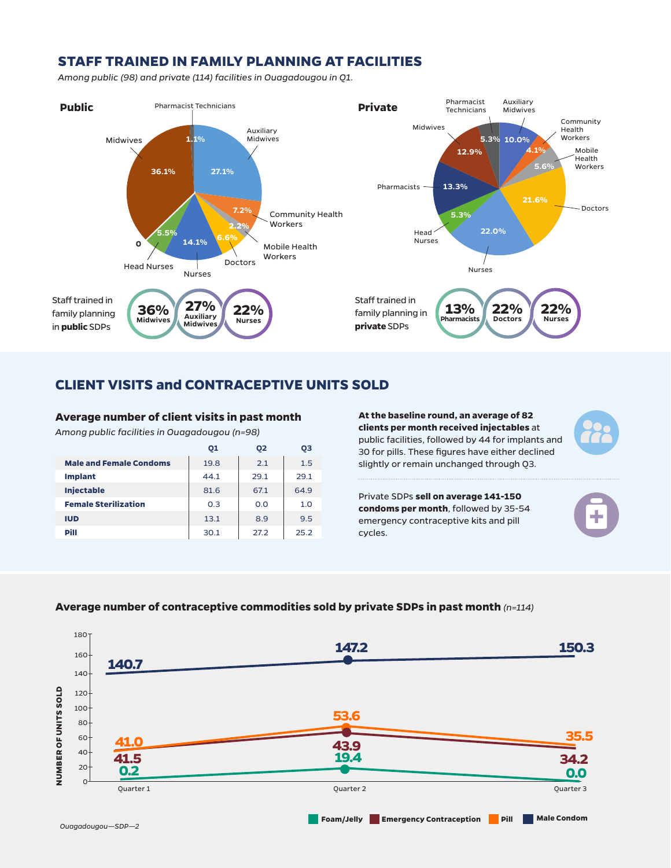## **STAFF TRAINED IN FAMILY PLANNING AT FACILITIES**

*Among public (98) and private (114) facilities in Ouagadougou in Q1.*



### **CLIENT VISITS and CONTRACEPTIVE UNITS SOLD**

#### **Average number of client visits in past month**

*Among public facilities in Ouagadougou (n=98)*

|                                | 01   | 02   | ОЗ   |
|--------------------------------|------|------|------|
| <b>Male and Female Condoms</b> | 19.8 | 2.1  | 1.5  |
| <b>Implant</b>                 | 44.1 | 29.1 | 29.1 |
| <b>Injectable</b>              | 81.6 | 67.1 | 64.9 |
| <b>Female Sterilization</b>    | 0.3  | 0.0  | 1.0  |
| <b>IUD</b>                     | 13.1 | 8.9  | 9.5  |
| Pill                           | 30.1 | 27.2 | 25.2 |

**At the baseline round, an average of 82 clients per month received injectables** at public facilities, followed by 44 for implants and 30 for pills. These figures have either declined slightly or remain unchanged through Q3.

Private SDPs **sell on average 141-150 condoms per month**, followed by 35-54 emergency contraceptive kits and pill cycles.



#### **Average number of contraceptive commodities sold by private SDPs in past month** *(n=114)*

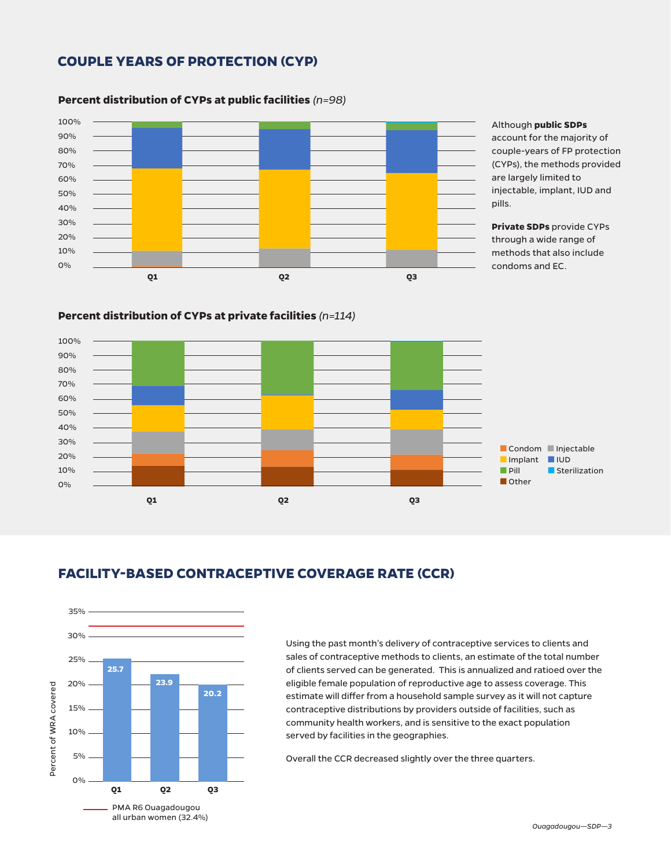## **COUPLE YEARS OF PROTECTION (CYP)**



#### **Percent distribution of CYPs at public facilities** *(n=98)*

**Percent distribution of CYPs at private facilities** *(n=114)*

#### Although **public SDPs**

account for the majority of couple-years of FP protection (CYPs), the methods provided are largely limited to injectable, implant, IUD and pills.

**Private SDPs** provide CYPs through a wide range of methods that also include condoms and EC.



# **FACILITY-BASED CONTRACEPTIVE COVERAGE RATE (CCR)**



Using the past month's delivery of contraceptive services to clients and sales of contraceptive methods to clients, an estimate of the total number of clients served can be generated. This is annualized and ratioed over the eligible female population of reproductive age to assess coverage. This estimate will differ from a household sample survey as it will not capture contraceptive distributions by providers outside of facilities, such as community health workers, and is sensitive to the exact population served by facilities in the geographies.

Overall the CCR decreased slightly over the three quarters.